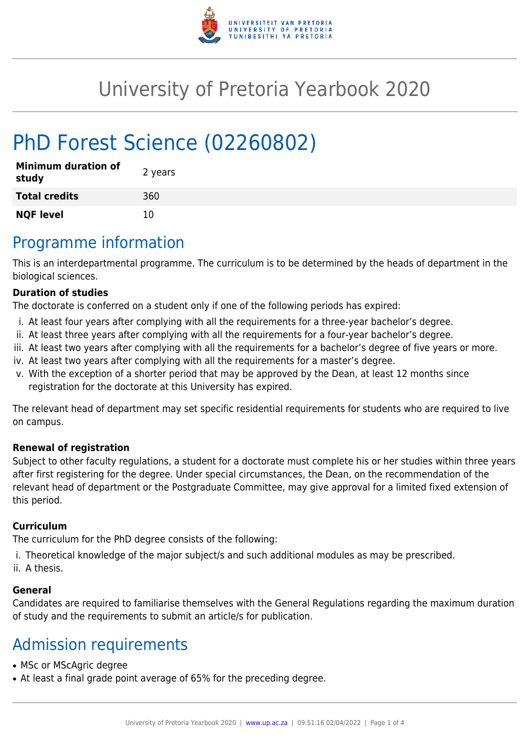

# University of Pretoria Yearbook 2020

# PhD Forest Science (02260802)

| <b>Minimum duration of</b><br>study | 2 years |
|-------------------------------------|---------|
| <b>Total credits</b>                | 360     |
| <b>NQF level</b>                    | 10      |

## Programme information

This is an interdepartmental programme. The curriculum is to be determined by the heads of department in the biological sciences.

### **Duration of studies**

The doctorate is conferred on a student only if one of the following periods has expired:

- i. At least four years after complying with all the requirements for a three-year bachelor's degree.
- ii. At least three years after complying with all the requirements for a four-year bachelor's degree.
- iii. At least two years after complying with all the requirements for a bachelor's degree of five years or more.
- iv. At least two years after complying with all the requirements for a master's degree.
- v. With the exception of a shorter period that may be approved by the Dean, at least 12 months since registration for the doctorate at this University has expired.

The relevant head of department may set specific residential requirements for students who are required to live on campus.

#### **Renewal of registration**

Subject to other faculty regulations, a student for a doctorate must complete his or her studies within three years after first registering for the degree. Under special circumstances, the Dean, on the recommendation of the relevant head of department or the Postgraduate Committee, may give approval for a limited fixed extension of this period.

#### **Curriculum**

The curriculum for the PhD degree consists of the following:

- i. Theoretical knowledge of the major subject/s and such additional modules as may be prescribed.
- ii. A thesis.

#### **General**

Candidates are required to familiarise themselves with the General Regulations regarding the maximum duration of study and the requirements to submit an article/s for publication.

### Admission requirements

- MSc or MScAgric degree
- At least a final grade point average of 65% for the preceding degree.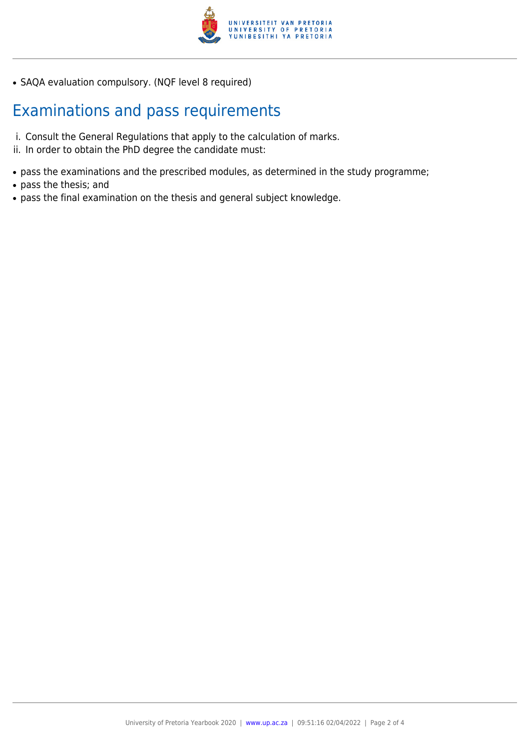

• SAQA evaluation compulsory. (NQF level 8 required)

### Examinations and pass requirements

- i. Consult the General Regulations that apply to the calculation of marks.
- ii. In order to obtain the PhD degree the candidate must:
- pass the examinations and the prescribed modules, as determined in the study programme;
- pass the thesis; and
- pass the final examination on the thesis and general subject knowledge.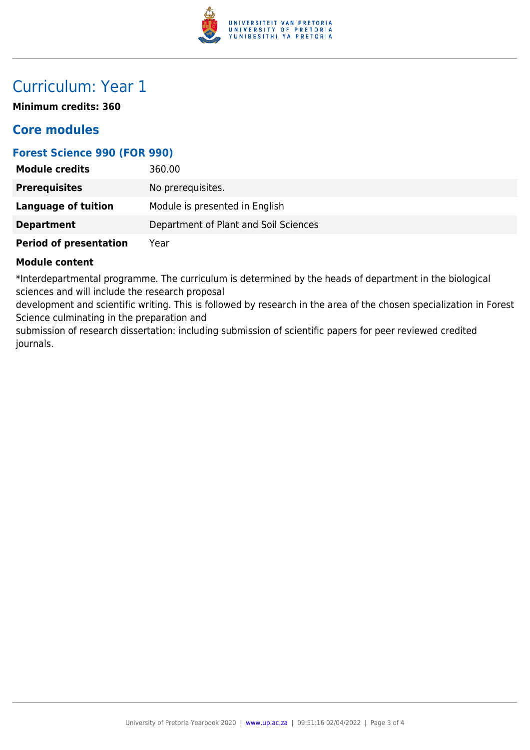

## Curriculum: Year 1

**Minimum credits: 360**

### **Core modules**

### **Forest Science 990 (FOR 990)**

| <b>Module credits</b>         | 360.00                                |
|-------------------------------|---------------------------------------|
| <b>Prerequisites</b>          | No prerequisites.                     |
| Language of tuition           | Module is presented in English        |
| <b>Department</b>             | Department of Plant and Soil Sciences |
| <b>Period of presentation</b> | Year                                  |

#### **Module content**

\*Interdepartmental programme. The curriculum is determined by the heads of department in the biological sciences and will include the research proposal

development and scientific writing. This is followed by research in the area of the chosen specialization in Forest Science culminating in the preparation and

submission of research dissertation: including submission of scientific papers for peer reviewed credited journals.